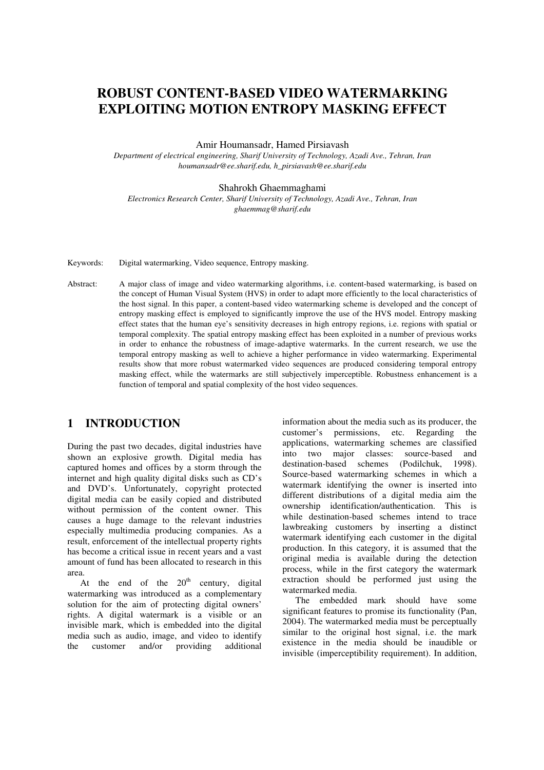# **ROBUST CONTENT-BASED VIDEO WATERMARKING EXPLOITING MOTION ENTROPY MASKING EFFECT**

Amir Houmansadr, Hamed Pirsiavash

*Department of electrical engineering, Sharif University of Technology, Azadi Ave., Tehran, Iran houmansadr@ee.sharif.edu, h\_pirsiavash@ee.sharif.edu*

#### Shahrokh Ghaemmaghami

*Electronics Research Center, Sharif University of Technology, Azadi Ave., Tehran, Iran ghaemmag@sharif.edu*

Keywords: Digital watermarking, Video sequence, Entropy masking.

Abstract: A major class of image and video watermarking algorithms, i.e. content-based watermarking, is based on the concept of Human Visual System (HVS) in order to adapt more efficiently to the local characteristics of the host signal. In this paper, a content-based video watermarking scheme is developed and the concept of entropy masking effect is employed to significantly improve the use of the HVS model. Entropy masking effect states that the human eye's sensitivity decreases in high entropy regions, i.e. regions with spatial or temporal complexity. The spatial entropy masking effect has been exploited in a number of previous works in order to enhance the robustness of image-adaptive watermarks. In the current research, we use the temporal entropy masking as well to achieve a higher performance in video watermarking. Experimental results show that more robust watermarked video sequences are produced considering temporal entropy masking effect, while the watermarks are still subjectively imperceptible. Robustness enhancement is a function of temporal and spatial complexity of the host video sequences.

### **1 INTRODUCTION**

During the past two decades, digital industries have shown an explosive growth. Digital media has captured homes and offices by a storm through the internet and high quality digital disks such as CD's and DVD's. Unfortunately, copyright protected digital media can be easily copied and distributed without permission of the content owner. This causes a huge damage to the relevant industries especially multimedia producing companies. As a result, enforcement of the intellectual property rights has become a critical issue in recent years and a vast amount of fund has been allocated to research in this area.

At the end of the  $20<sup>th</sup>$  century, digital watermarking was introduced as a complementary solution for the aim of protecting digital owners' rights. A digital watermark is a visible or an invisible mark, which is embedded into the digital media such as audio, image, and video to identify the customer and/or providing additional

information about the media such as its producer, the customer's permissions, etc. Regarding the applications, watermarking schemes are classified into two major classes: source-based and destination-based schemes (Podilchuk, 1998). Source-based watermarking schemes in which a watermark identifying the owner is inserted into different distributions of a digital media aim the ownership identification/authentication. This is while destination-based schemes intend to trace lawbreaking customers by inserting a distinct watermark identifying each customer in the digital production. In this category, it is assumed that the original media is available during the detection process, while in the first category the watermark extraction should be performed just using the watermarked media.

The embedded mark should have some significant features to promise its functionality (Pan, 2004). The watermarked media must be perceptually similar to the original host signal, i.e. the mark existence in the media should be inaudible or invisible (imperceptibility requirement). In addition,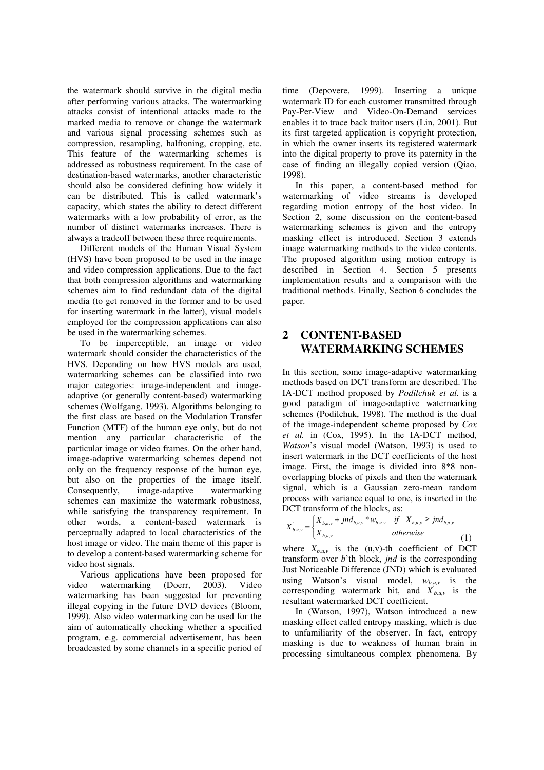the watermark should survive in the digital media after performing various attacks. The watermarking attacks consist of intentional attacks made to the marked media to remove or change the watermark and various signal processing schemes such as compression, resampling, halftoning, cropping, etc. This feature of the watermarking schemes is addressed as robustness requirement. In the case of destination-based watermarks, another characteristic should also be considered defining how widely it can be distributed. This is called watermark's capacity, which states the ability to detect different watermarks with a low probability of error, as the number of distinct watermarks increases. There is always a tradeoff between these three requirements.

Different models of the Human Visual System (HVS) have been proposed to be used in the image and video compression applications. Due to the fact that both compression algorithms and watermarking schemes aim to find redundant data of the digital media (to get removed in the former and to be used for inserting watermark in the latter), visual models employed for the compression applications can also be used in the watermarking schemes.

To be imperceptible, an image or video watermark should consider the characteristics of the HVS. Depending on how HVS models are used, watermarking schemes can be classified into two major categories: image-independent and imageadaptive (or generally content-based) watermarking schemes (Wolfgang, 1993). Algorithms belonging to the first class are based on the Modulation Transfer Function (MTF) of the human eye only, but do not mention any particular characteristic of the particular image or video frames. On the other hand, image-adaptive watermarking schemes depend not only on the frequency response of the human eye, but also on the properties of the image itself. Consequently, image-adaptive watermarking schemes can maximize the watermark robustness, while satisfying the transparency requirement. In other words, a content-based watermark is perceptually adapted to local characteristics of the host image or video. The main theme of this paper is to develop a content-based watermarking scheme for video host signals.

Various applications have been proposed for video watermarking (Doerr, 2003). Video watermarking has been suggested for preventing illegal copying in the future DVD devices (Bloom, 1999). Also video watermarking can be used for the aim of automatically checking whether a specified program, e.g. commercial advertisement, has been broadcasted by some channels in a specific period of time (Depovere, 1999). Inserting a unique watermark ID for each customer transmitted through Pay-Per-View and Video-On-Demand services enables it to trace back traitor users (Lin, 2001). But its first targeted application is copyright protection, in which the owner inserts its registered watermark into the digital property to prove its paternity in the case of finding an illegally copied version (Qiao, 1998).

In this paper, a content-based method for watermarking of video streams is developed regarding motion entropy of the host video. In Section 2, some discussion on the content-based watermarking schemes is given and the entropy masking effect is introduced. Section 3 extends image watermarking methods to the video contents. The proposed algorithm using motion entropy is described in Section 4. Section 5 presents implementation results and a comparison with the traditional methods. Finally, Section 6 concludes the paper.

## **2 CONTENT-BASED WATERMARKING SCHEMES**

In this section, some image-adaptive watermarking methods based on DCT transform are described. The IA-DCT method proposed by *Podilchuk et al.* is a good paradigm of image-adaptive watermarking schemes (Podilchuk, 1998). The method is the dual of the image-independent scheme proposed by *Cox et al.* in (Cox, 1995). In the IA-DCT method, *Watson*'s visual model (Watson, 1993) is used to insert watermark in the DCT coefficients of the host image. First, the image is divided into 8\*8 nonoverlapping blocks of pixels and then the watermark signal, which is a Gaussian zero-mean random process with variance equal to one, is inserted in the DCT transform of the blocks, as:

$$
X_{b,u,v} = \begin{cases} X_{b,u,v} + jnd_{b,u,v} * w_{b,u,v} & \text{if } X_{b,u,v} \geq jnd_{b,u,v} \\ X_{b,u,v} & \text{otherwise} \end{cases}
$$
 (1)

where  $X_{b,u,v}$  is the (u,v)-th coefficient of DCT transform over *b*'th block, *jnd* is the corresponding Just Noticeable Difference (JND) which is evaluated using Watson's visual model,  $w_{b,\mu,\nu}$  is the corresponding watermark bit, and  $X'_{b,u,v}$  is the resultant watermarked DCT coefficient.

In (Watson, 1997), Watson introduced a new masking effect called entropy masking, which is due to unfamiliarity of the observer. In fact, entropy masking is due to weakness of human brain in processing simultaneous complex phenomena. By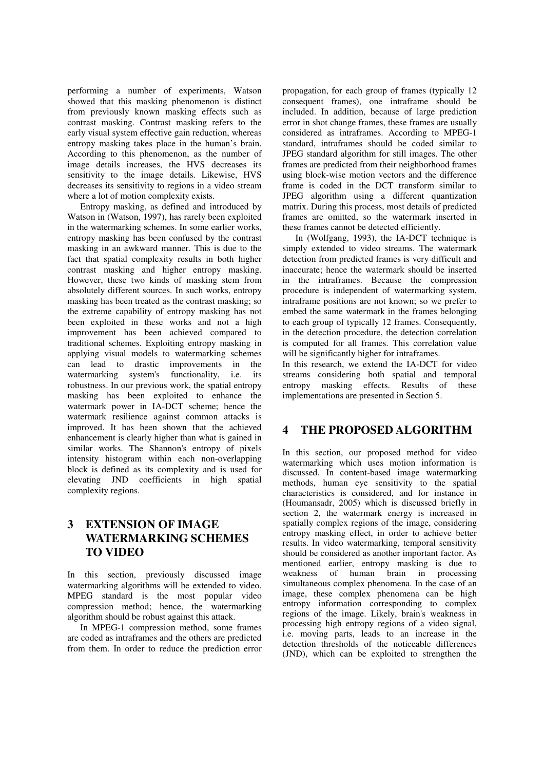performing a number of experiments, Watson showed that this masking phenomenon is distinct from previously known masking effects such as contrast masking. Contrast masking refers to the early visual system effective gain reduction, whereas entropy masking takes place in the human's brain. According to this phenomenon, as the number of image details increases, the HVS decreases its sensitivity to the image details. Likewise, HVS decreases its sensitivity to regions in a video stream where a lot of motion complexity exists.

Entropy masking, as defined and introduced by Watson in (Watson, 1997), has rarely been exploited in the watermarking schemes. In some earlier works, entropy masking has been confused by the contrast masking in an awkward manner. This is due to the fact that spatial complexity results in both higher contrast masking and higher entropy masking. However, these two kinds of masking stem from absolutely different sources. In such works, entropy masking has been treated as the contrast masking; so the extreme capability of entropy masking has not been exploited in these works and not a high improvement has been achieved compared to traditional schemes. Exploiting entropy masking in applying visual models to watermarking schemes can lead to drastic improvements in the watermarking system's functionality, i.e. its robustness. In our previous work, the spatial entropy masking has been exploited to enhance the watermark power in IA-DCT scheme; hence the watermark resilience against common attacks is improved. It has been shown that the achieved enhancement is clearly higher than what is gained in similar works. The Shannon's entropy of pixels intensity histogram within each non-overlapping block is defined as its complexity and is used for elevating JND coefficients in high spatial complexity regions.

## **3 EXTENSION OF IMAGE WATERMARKING SCHEMES TO VIDEO**

In this section, previously discussed image watermarking algorithms will be extended to video. MPEG standard is the most popular video compression method; hence, the watermarking algorithm should be robust against this attack.

In MPEG-1 compression method, some frames are coded as intraframes and the others are predicted from them. In order to reduce the prediction error propagation, for each group of frames (typically 12 consequent frames), one intraframe should be included. In addition, because of large prediction error in shot change frames, these frames are usually considered as intraframes. According to MPEG-1 standard, intraframes should be coded similar to JPEG standard algorithm for still images. The other frames are predicted from their neighborhood frames using block-wise motion vectors and the difference frame is coded in the DCT transform similar to JPEG algorithm using a different quantization matrix. During this process, most details of predicted frames are omitted, so the watermark inserted in these frames cannot be detected efficiently.

In (Wolfgang, 1993), the IA-DCT technique is simply extended to video streams. The watermark detection from predicted frames is very difficult and inaccurate; hence the watermark should be inserted in the intraframes. Because the compression procedure is independent of watermarking system, intraframe positions are not known; so we prefer to embed the same watermark in the frames belonging to each group of typically 12 frames. Consequently, in the detection procedure, the detection correlation is computed for all frames. This correlation value will be significantly higher for intraframes.

In this research, we extend the IA-DCT for video streams considering both spatial and temporal entropy masking effects. Results of these implementations are presented in Section 5.

### **4 THE PROPOSED ALGORITHM**

In this section, our proposed method for video watermarking which uses motion information is discussed. In content-based image watermarking methods, human eye sensitivity to the spatial characteristics is considered, and for instance in (Houmansadr, 2005) which is discussed briefly in section 2, the watermark energy is increased in spatially complex regions of the image, considering entropy masking effect, in order to achieve better results. In video watermarking, temporal sensitivity should be considered as another important factor. As mentioned earlier, entropy masking is due to weakness of human brain in processing simultaneous complex phenomena. In the case of an image, these complex phenomena can be high entropy information corresponding to complex regions of the image. Likely, brain's weakness in processing high entropy regions of a video signal, i.e. moving parts, leads to an increase in the detection thresholds of the noticeable differences (JND), which can be exploited to strengthen the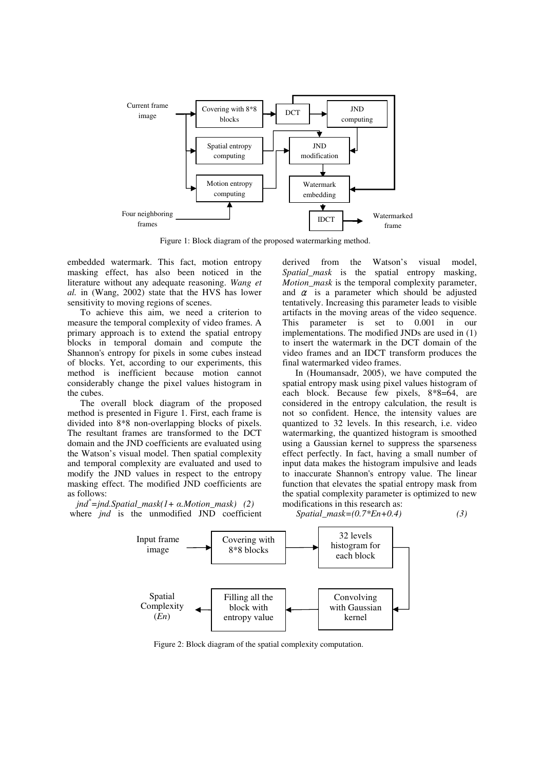

Figure 1: Block diagram of the proposed watermarking method.

embedded watermark. This fact, motion entropy masking effect, has also been noticed in the literature without any adequate reasoning. *Wang et al.* in (Wang, 2002) state that the HVS has lower sensitivity to moving regions of scenes.

To achieve this aim, we need a criterion to measure the temporal complexity of video frames. A primary approach is to extend the spatial entropy blocks in temporal domain and compute the Shannon's entropy for pixels in some cubes instead of blocks. Yet, according to our experiments, this method is inefficient because motion cannot considerably change the pixel values histogram in the cubes.

The overall block diagram of the proposed method is presented in Figure 1. First, each frame is divided into 8\*8 non-overlapping blocks of pixels. The resultant frames are transformed to the DCT domain and the JND coefficients are evaluated using the Watson's visual model. Then spatial complexity and temporal complexity are evaluated and used to modify the JND values in respect to the entropy masking effect. The modified JND coefficients are as follows:

*jnd \*=jnd.Spatial\_mask(1+ .Motion\_mask) (2)* where *jnd* is the unmodified JND coefficient derived from the Watson's visual model, *Spatial\_mask* is the spatial entropy masking, *Motion\_mask* is the temporal complexity parameter, and  $\alpha$  is a parameter which should be adjusted tentatively. Increasing this parameter leads to visible artifacts in the moving areas of the video sequence. This parameter is set to 0.001 in our implementations. The modified JNDs are used in (1) to insert the watermark in the DCT domain of the video frames and an IDCT transform produces the final watermarked video frames.

In (Houmansadr, 2005), we have computed the spatial entropy mask using pixel values histogram of each block. Because few pixels, 8\*8=64, are considered in the entropy calculation, the result is not so confident. Hence, the intensity values are quantized to 32 levels. In this research, i.e. video watermarking, the quantized histogram is smoothed using a Gaussian kernel to suppress the sparseness effect perfectly. In fact, having a small number of input data makes the histogram impulsive and leads to inaccurate Shannon's entropy value. The linear function that elevates the spatial entropy mask from the spatial complexity parameter is optimized to new modifications in this research as:

*Spatial\_mask=(0.7\*En+0.4) (3)*



Figure 2: Block diagram of the spatial complexity computation.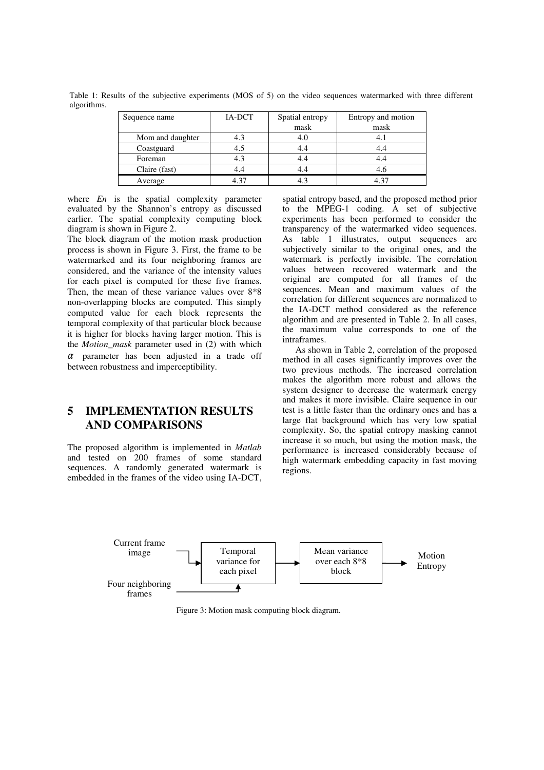| Sequence name    | IA-DCT | Spatial entropy | Entropy and motion |
|------------------|--------|-----------------|--------------------|
|                  |        | mask            | mask               |
| Mom and daughter |        | 4.0             |                    |
| Coastguard       |        | 4.4             |                    |
| Foreman          | 4.3    | 4.4             |                    |
| Claire (fast)    |        | 4.4             |                    |
| Average          | 4.37   |                 | 4.37               |

Table 1: Results of the subjective experiments (MOS of 5) on the video sequences watermarked with three different algorithms.

where *En* is the spatial complexity parameter evaluated by the Shannon's entropy as discussed earlier. The spatial complexity computing block diagram is shown in Figure 2.

The block diagram of the motion mask production process is shown in Figure 3. First, the frame to be watermarked and its four neighboring frames are considered, and the variance of the intensity values for each pixel is computed for these five frames. Then, the mean of these variance values over 8\*8 non-overlapping blocks are computed. This simply computed value for each block represents the temporal complexity of that particular block because it is higher for blocks having larger motion. This is the *Motion\_mask* parameter used in (2) with which  $\alpha$  parameter has been adjusted in a trade off between robustness and imperceptibility.

### **5 IMPLEMENTATION RESULTS AND COMPARISONS**

The proposed algorithm is implemented in *Matlab* and tested on 200 frames of some standard sequences. A randomly generated watermark is embedded in the frames of the video using IA-DCT,

spatial entropy based, and the proposed method prior to the MPEG-1 coding. A set of subjective experiments has been performed to consider the transparency of the watermarked video sequences. As table 1 illustrates, output sequences are subjectively similar to the original ones, and the watermark is perfectly invisible. The correlation values between recovered watermark and the original are computed for all frames of the sequences. Mean and maximum values of the correlation for different sequences are normalized to the IA-DCT method considered as the reference algorithm and are presented in Table 2. In all cases, the maximum value corresponds to one of the intraframes.

As shown in Table 2, correlation of the proposed method in all cases significantly improves over the two previous methods. The increased correlation makes the algorithm more robust and allows the system designer to decrease the watermark energy and makes it more invisible. Claire sequence in our test is a little faster than the ordinary ones and has a large flat background which has very low spatial complexity. So, the spatial entropy masking cannot increase it so much, but using the motion mask, the performance is increased considerably because of high watermark embedding capacity in fast moving regions.



Figure 3: Motion mask computing block diagram.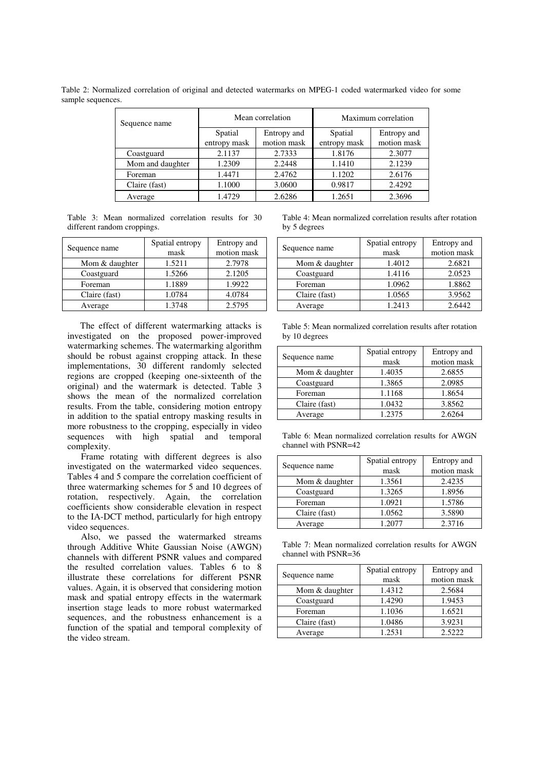Table 2: Normalized correlation of original and detected watermarks on MPEG-1 coded watermarked video for some sample sequences.

| Sequence name    | Mean correlation |             | Maximum correlation |             |
|------------------|------------------|-------------|---------------------|-------------|
|                  | Spatial          | Entropy and | Spatial             | Entropy and |
|                  | entropy mask     | motion mask | entropy mask        | motion mask |
| Coastguard       | 2.1137           | 2.7333      | 1.8176              | 2.3077      |
| Mom and daughter | 1.2309           | 2.2448      | 1.1410              | 2.1239      |
| Foreman          | 1.4471           | 2.4762      | 1.1202              | 2.6176      |
| Claire (fast)    | 1.1000           | 3.0600      | 0.9817              | 2.4292      |
| Average          | 1.4729           | 2.6286      | 1.2651              | 2.3696      |

Table 3: Mean normalized correlation results for 30 different random croppings.

| Sequence name  | Spatial entropy | Entropy and |
|----------------|-----------------|-------------|
|                | mask            | motion mask |
| Mom & daughter | 1.5211          | 2.7978      |
| Coastguard     | 1.5266          | 2.1205      |
| Foreman        | 1.1889          | 1.9922      |
| Claire (fast)  | 1.0784          | 4.0784      |
| Average        | 1.3748          | 2.5795      |

The effect of different watermarking attacks is investigated on the proposed power-improved watermarking schemes. The watermarking algorithm should be robust against cropping attack. In these implementations, 30 different randomly selected regions are cropped (keeping one-sixteenth of the original) and the watermark is detected. Table 3 shows the mean of the normalized correlation results. From the table, considering motion entropy in addition to the spatial entropy masking results in more robustness to the cropping, especially in video sequences with high spatial and temporal complexity.

Frame rotating with different degrees is also investigated on the watermarked video sequences. Tables 4 and 5 compare the correlation coefficient of three watermarking schemes for 5 and 10 degrees of rotation, respectively. Again, the correlation coefficients show considerable elevation in respect to the IA-DCT method, particularly for high entropy video sequences.

Also, we passed the watermarked streams through Additive White Gaussian Noise (AWGN) channels with different PSNR values and compared the resulted correlation values. Tables 6 to 8 illustrate these correlations for different PSNR values. Again, it is observed that considering motion mask and spatial entropy effects in the watermark insertion stage leads to more robust watermarked sequences, and the robustness enhancement is a function of the spatial and temporal complexity of the video stream.

Table 4: Mean normalized correlation results after rotation by 5 degrees

|                | Spatial entropy | Entropy and |
|----------------|-----------------|-------------|
| Sequence name  | mask            | motion mask |
| Mom & daughter | 1.4012          | 2.6821      |
| Coastguard     | 1.4116          | 2.0523      |
| Foreman        | 1.0962          | 1.8862      |
| Claire (fast)  | 1.0565          | 3.9562      |
| Average        | 1.2413          | 2.6442      |

Table 5: Mean normalized correlation results after rotation by 10 degrees

| Sequence name  | Spatial entropy | Entropy and |
|----------------|-----------------|-------------|
|                | mask            | motion mask |
| Mom & daughter | 1.4035          | 2.6855      |
| Coastguard     | 1.3865          | 2.0985      |
| Foreman        | 1.1168          | 1.8654      |
| Claire (fast)  | 1.0432          | 3.8562      |
| Average        | 1.2375          | 2.6264      |

Table 6: Mean normalized correlation results for AWGN channel with PSNR=42

| Sequence name  | Spatial entropy | Entropy and |
|----------------|-----------------|-------------|
|                | mask            | motion mask |
| Mom & daughter | 1.3561          | 2.4235      |
| Coastguard     | 1.3265          | 1.8956      |
| Foreman        | 1.0921          | 1.5786      |
| Claire (fast)  | 1.0562          | 3.5890      |
| Average        | 1.2077          | 2.3716      |

Table 7: Mean normalized correlation results for AWGN channel with PSNR=36

|                | Spatial entropy | Entropy and |
|----------------|-----------------|-------------|
| Sequence name  | mask            | motion mask |
| Mom & daughter | 1.4312          | 2.5684      |
| Coastguard     | 1.4290          | 1.9453      |
| Foreman        | 1.1036          | 1.6521      |
| Claire (fast)  | 1.0486          | 3.9231      |
| Average        | 1.2531          | 2.5222      |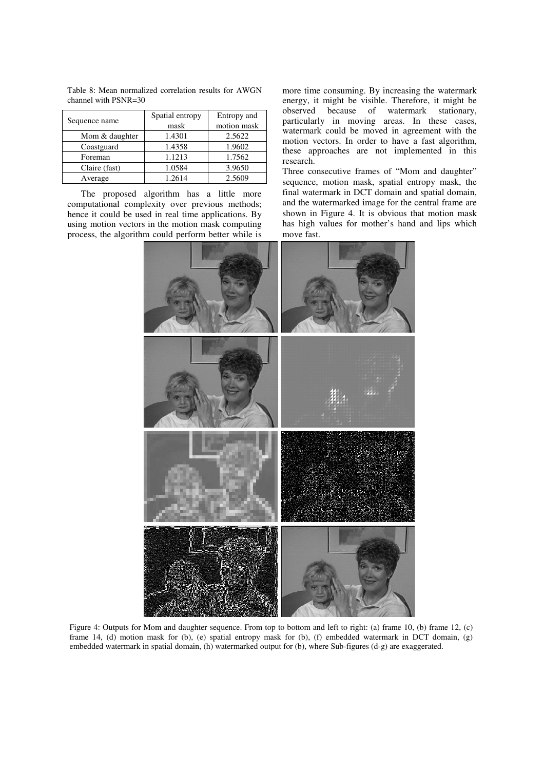| Sequence name  | Spatial entropy | Entropy and |
|----------------|-----------------|-------------|
|                | mask            | motion mask |
| Mom & daughter | 1.4301          | 2.5622      |
| Coastguard     | 1.4358          | 1.9602      |
| Foreman        | 1.1213          | 1.7562      |
| Claire (fast)  | 1.0584          | 3.9650      |
| Average        | 1.2614          | 2.5609      |

Table 8: Mean normalized correlation results for AWGN channel with PSNR=30

The proposed algorithm has a little more computational complexity over previous methods; hence it could be used in real time applications. By using motion vectors in the motion mask computing process, the algorithm could perform better while is more time consuming. By increasing the watermark energy, it might be visible. Therefore, it might be observed because of watermark stationary, particularly in moving areas. In these cases, watermark could be moved in agreement with the motion vectors. In order to have a fast algorithm, these approaches are not implemented in this research.

Three consecutive frames of "Mom and daughter" sequence, motion mask, spatial entropy mask, the final watermark in DCT domain and spatial domain, and the watermarked image for the central frame are shown in Figure 4. It is obvious that motion mask has high values for mother's hand and lips which move fast.



Figure 4: Outputs for Mom and daughter sequence. From top to bottom and left to right: (a) frame 10, (b) frame 12, (c) frame 14, (d) motion mask for (b), (e) spatial entropy mask for (b), (f) embedded watermark in DCT domain, (g) embedded watermark in spatial domain, (h) watermarked output for (b), where Sub-figures (d-g) are exaggerated.